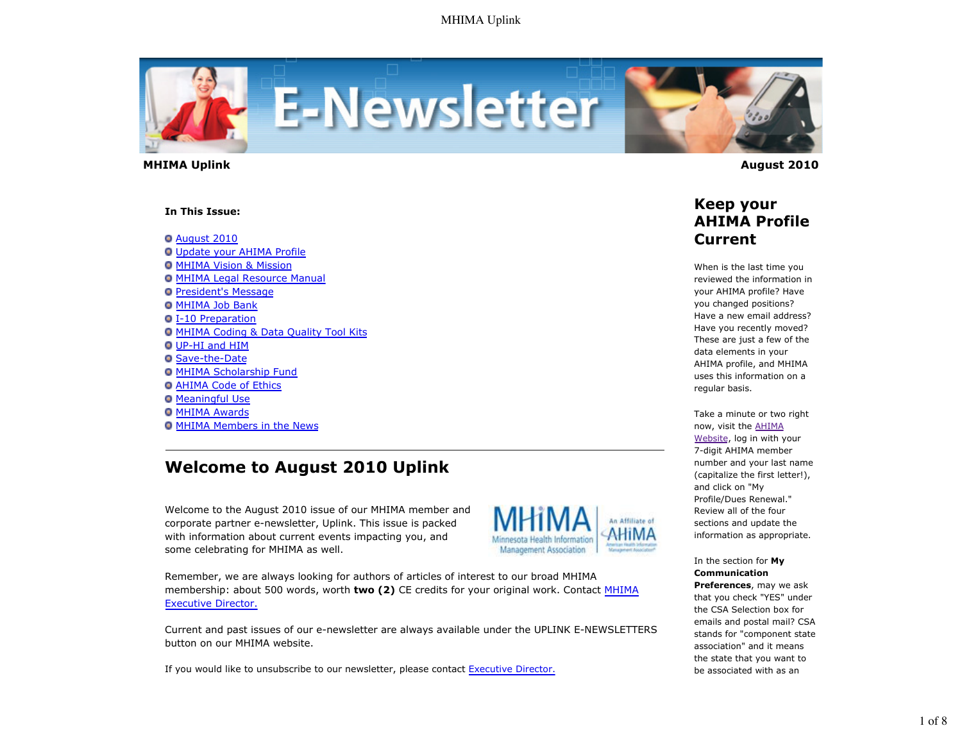

 **MHIMA Uplink August 2010** 

#### **In This Issue:**

August 2010

- Update your AHIMA Profile **O MHIMA Vision & Mission O MHIMA Legal Resource Manual**
- **President's Message**
- **O MHIMA Job Bank**
- I-10 Preparation
- **O MHIMA Coding & Data Quality Tool Kits**
- UP-HI and HIM
- Save-the-Date
- **O MHIMA Scholarship Fund**
- **O AHIMA Code of Ethics**
- **Meaningful Use**
- **O MHIMA Awards**
- **O MHIMA Members in the News**

# **Welcome to August 2010 Uplink**

Welcome to the August 2010 issue of our MHIMA member and corporate partner e-newsletter, Uplink. This issue is packed with information about current events impacting you, and some celebrating for MHIMA as well.



Remember, we are always looking for authors of articles of interest to our broad MHIMA membership: about 500 words, worth **two (2)** CE credits for your original work. Contact MHIMA Executive Director.

Current and past issues of our e-newsletter are always available under the UPLINK E-NEWSLETTERS button on our MHIMA website.

If you would like to unsubscribe to our newsletter, please contact Executive Director.



## **Keep your AHIMA Profile Current**

When is the last time you reviewed the information in your AHIMA profile? Have you changed positions? Have a new email address? Have you recently moved? These are just a few of the data elements in your AHIMA profile, and MHIMA uses this information on a regular basis.

Take a minute or two right now, visit the AHIMA Website, log in with your 7-digit AHIMA member number and your last name (capitalize the first letter!), and click on "My Profile/Dues Renewal." Review all of the four sections and update the information as appropriate.

In the section for **My Communication Preferences**, may we ask

that you check "YES" under the CSA Selection box for emails and postal mail? CSA stands for "component state association" and it means the state that you want to be associated with as an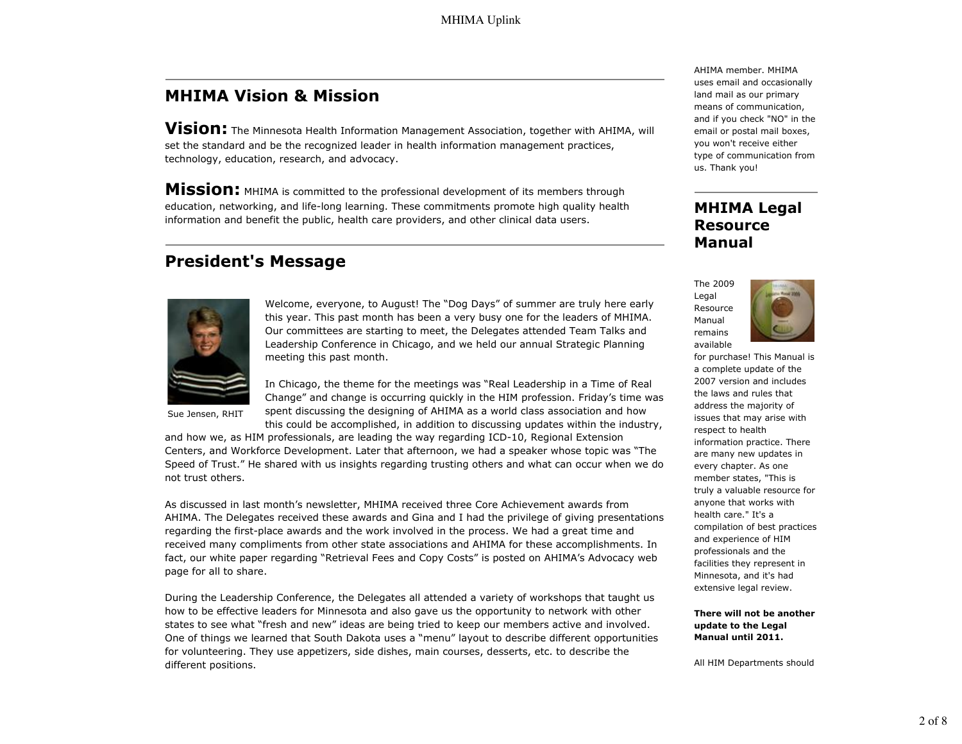# **MHIMA Vision & Mission**

**Vision:** The Minnesota Health Information Management Association, together with AHIMA, will set the standard and be the recognized leader in health information management practices, technology, education, research, and advocacy.

**Mission:** MHIMA is committed to the professional development of its members through education, networking, and life-long learning. These commitments promote high quality health information and benefit the public, health care providers, and other clinical data users.

## **President's Message**



Welcome, everyone, to August! The "Dog Days" of summer are truly here early this year. This past month has been a very busy one for the leaders of MHIMA. Our committees are starting to meet, the Delegates attended Team Talks and Leadership Conference in Chicago, and we held our annual Strategic Planning meeting this past month.

Sue Jensen, RHIT

In Chicago, the theme for the meetings was "Real Leadership in a Time of Real Change" and change is occurring quickly in the HIM profession. Friday's time was spent discussing the designing of AHIMA as a world class association and how this could be accomplished, in addition to discussing updates within the industry,

and how we, as HIM professionals, are leading the way regarding ICD-10, Regional Extension Centers, and Workforce Development. Later that afternoon, we had a speaker whose topic was "The Speed of Trust." He shared with us insights regarding trusting others and what can occur when we do not trust others.

As discussed in last month's newsletter, MHIMA received three Core Achievement awards from AHIMA. The Delegates received these awards and Gina and I had the privilege of giving presentations regarding the first-place awards and the work involved in the process. We had a great time and received many compliments from other state associations and AHIMA for these accomplishments. In fact, our white paper regarding "Retrieval Fees and Copy Costs" is posted on AHIMA's Advocacy web page for all to share.

During the Leadership Conference, the Delegates all attended a variety of workshops that taught us how to be effective leaders for Minnesota and also gave us the opportunity to network with other states to see what "fresh and new" ideas are being tried to keep our members active and involved. One of things we learned that South Dakota uses a "menu" layout to describe different opportunities for volunteering. They use appetizers, side dishes, main courses, desserts, etc. to describe the different positions.

AHIMA member. MHIMA uses email and occasionally land mail as our primary means of communication, and if you check "NO" in the email or postal mail boxes, you won't receive either type of communication from us. Thank you!

### **MHIMA Legal Resource Manual**





for purchase! This Manual is a complete update of the 2007 version and includes the laws and rules that address the majority of issues that may arise with respect to health information practice. There are many new updates in every chapter. As one member states, "This is truly a valuable resource for anyone that works with health care." It's a compilation of best practices and experience of HIM professionals and the facilities they represent in Minnesota, and it's had extensive legal review.

**There will not be another update to the Legal Manual until 2011.**

All HIM Departments should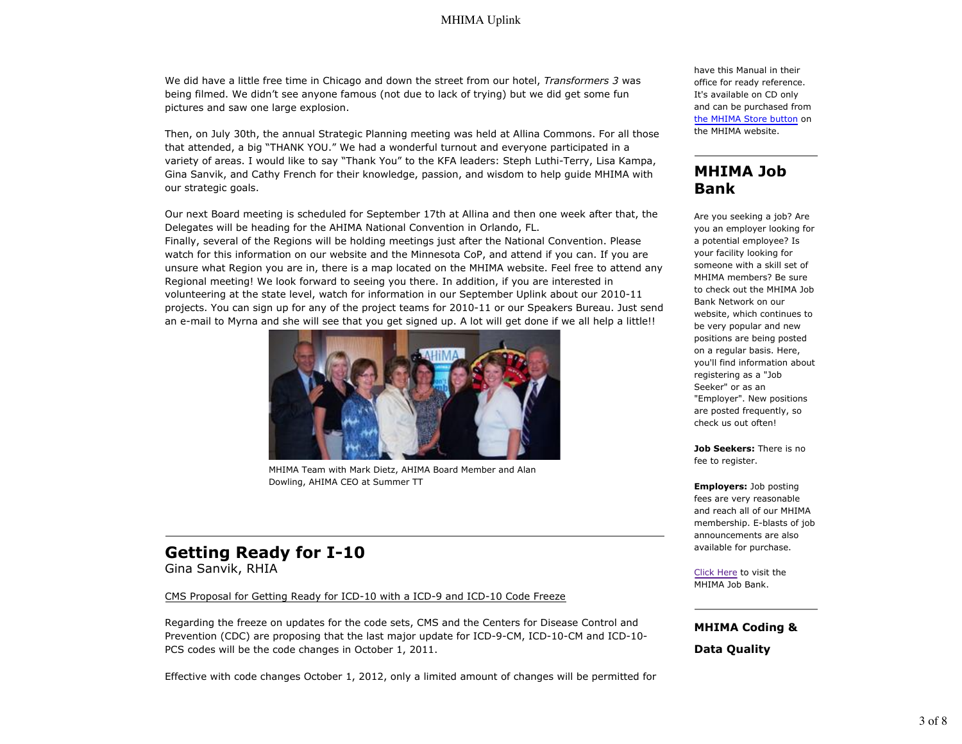We did have a little free time in Chicago and down the street from our hotel, *Transformers 3* was being filmed. We didn't see anyone famous (not due to lack of trying) but we did get some fun pictures and saw one large explosion.

Then, on July 30th, the annual Strategic Planning meeting was held at Allina Commons. For all those that attended, a big "THANK YOU." We had a wonderful turnout and everyone participated in a variety of areas. I would like to say "Thank You" to the KFA leaders: Steph Luthi-Terry, Lisa Kampa, Gina Sanvik, and Cathy French for their knowledge, passion, and wisdom to help guide MHIMA with our strategic goals.

Our next Board meeting is scheduled for September 17th at Allina and then one week after that, the Delegates will be heading for the AHIMA National Convention in Orlando, FL.

Finally, several of the Regions will be holding meetings just after the National Convention. Please watch for this information on our website and the Minnesota CoP, and attend if you can. If you are unsure what Region you are in, there is a map located on the MHIMA website. Feel free to attend any Regional meeting! We look forward to seeing you there. In addition, if you are interested in volunteering at the state level, watch for information in our September Uplink about our 2010-11 projects. You can sign up for any of the project teams for 2010-11 or our Speakers Bureau. Just send an e-mail to Myrna and she will see that you get signed up. A lot will get done if we all help a little!!



MHIMA Team with Mark Dietz, AHIMA Board Member and Alan Dowling, AHIMA CEO at Summer TT

### **Getting Ready for I-10** Gina Sanvik, RHIA

#### CMS Proposal for Getting Ready for ICD-10 with a ICD-9 and ICD-10 Code Freeze

Regarding the freeze on updates for the code sets, CMS and the Centers for Disease Control and Prevention (CDC) are proposing that the last major update for ICD-9-CM, ICD-10-CM and ICD-10- PCS codes will be the code changes in October 1, 2011.

Effective with code changes October 1, 2012, only a limited amount of changes will be permitted for

have this Manual in their office for ready reference. It's available on CD only and can be purchased from the MHIMA Store button on the MHIMA website.

### **MHIMA Job Bank**

Are you seeking a job? Are you an employer looking for a potential employee? Is your facility looking for someone with a skill set of MHIMA members? Be sure to check out the MHIMA Job Bank Network on our website, which continues to be very popular and new positions are being posted on a regular basis. Here, you'll find information about registering as a "Job Seeker" or as an "Employer". New positions are posted frequently, so check us out often!

**Job Seekers:** There is no fee to register.

**Employers:** Job posting fees are very reasonable and reach all of our MHIMA membership. E-blasts of job announcements are also available for purchase.

Click Here to visit the MHIMA Job Bank.

**MHIMA Coding &**

**Data Quality**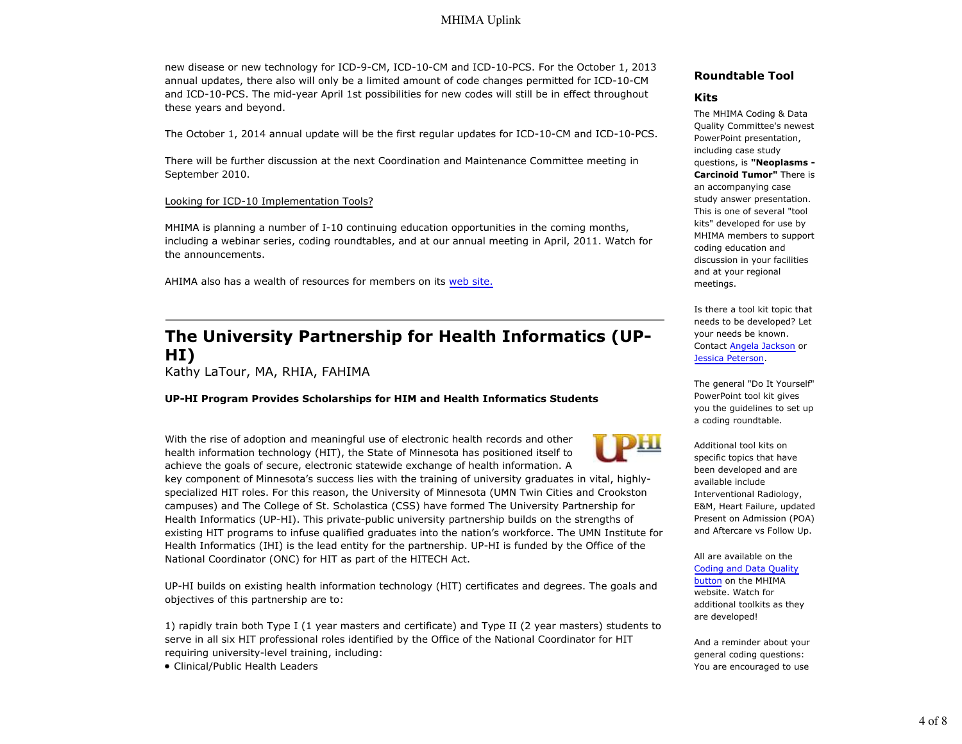### MHIMA Uplink

new disease or new technology for ICD-9-CM, ICD-10-CM and ICD-10-PCS. For the October 1, 2013 annual updates, there also will only be a limited amount of code changes permitted for ICD-10-CM and ICD-10-PCS. The mid-year April 1st possibilities for new codes will still be in effect throughout these years and beyond.

The October 1, 2014 annual update will be the first regular updates for ICD-10-CM and ICD-10-PCS.

There will be further discussion at the next Coordination and Maintenance Committee meeting in September 2010.

#### Looking for ICD-10 Implementation Tools?

MHIMA is planning a number of I-10 continuing education opportunities in the coming months, including a webinar series, coding roundtables, and at our annual meeting in April, 2011. Watch for the announcements.

AHIMA also has a wealth of resources for members on its web site.

## **The University Partnership for Health Informatics (UP-HI)**

Kathy LaTour, MA, RHIA, FAHIMA

#### **UP-HI Program Provides Scholarships for HIM and Health Informatics Students**

With the rise of adoption and meaningful use of electronic health records and other health information technology (HIT), the State of Minnesota has positioned itself to achieve the goals of secure, electronic statewide exchange of health information. A

key component of Minnesota's success lies with the training of university graduates in vital, highlyspecialized HIT roles. For this reason, the University of Minnesota (UMN Twin Cities and Crookston campuses) and The College of St. Scholastica (CSS) have formed The University Partnership for Health Informatics (UP-HI). This private-public university partnership builds on the strengths of existing HIT programs to infuse qualified graduates into the nation's workforce. The UMN Institute for Health Informatics (IHI) is the lead entity for the partnership. UP-HI is funded by the Office of the National Coordinator (ONC) for HIT as part of the HITECH Act.

UP-HI builds on existing health information technology (HIT) certificates and degrees. The goals and objectives of this partnership are to:

1) rapidly train both Type I (1 year masters and certificate) and Type II (2 year masters) students to serve in all six HIT professional roles identified by the Office of the National Coordinator for HIT requiring university-level training, including:

Clinical/Public Health Leaders

#### **Roundtable Tool**

#### **Kits**

The MHIMA Coding & Data Quality Committee's newest PowerPoint presentation, including case study questions, is **"Neoplasms - Carcinoid Tumor"** There is an accompanying case study answer presentation. This is one of several "tool kits" developed for use by MHIMA members to support coding education and discussion in your facilities and at your regional meetings.

Is there a tool kit topic that needs to be developed? Let your needs be known. Contact Angela Jackson or Jessica Peterson.

The general "Do It Yourself" PowerPoint tool kit gives you the guidelines to set up a coding roundtable.

Additional tool kits on specific topics that have been developed and are available include Interventional Radiology, E&M, Heart Failure, updated Present on Admission (POA) and Aftercare vs Follow Up.

All are available on the Coding and Data Quality

button on the MHIMA website. Watch for additional toolkits as they are developed!

And a reminder about your general coding questions: You are encouraged to use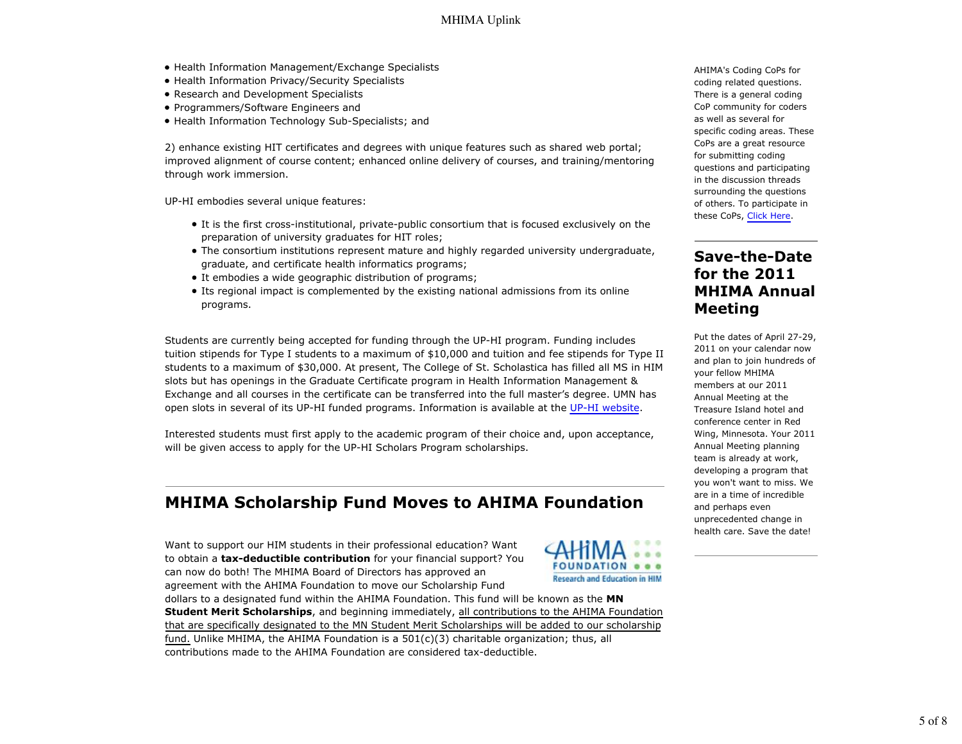- Health Information Management/Exchange Specialists
- Health Information Privacy/Security Specialists
- Research and Development Specialists
- Programmers/Software Engineers and
- Health Information Technology Sub-Specialists; and

2) enhance existing HIT certificates and degrees with unique features such as shared web portal; improved alignment of course content; enhanced online delivery of courses, and training/mentoring through work immersion.

UP-HI embodies several unique features:

- It is the first cross-institutional, private-public consortium that is focused exclusively on the preparation of university graduates for HIT roles;
- The consortium institutions represent mature and highly regarded university undergraduate, graduate, and certificate health informatics programs;
- It embodies a wide geographic distribution of programs;
- Its regional impact is complemented by the existing national admissions from its online programs.

Students are currently being accepted for funding through the UP-HI program. Funding includes tuition stipends for Type I students to a maximum of \$10,000 and tuition and fee stipends for Type II students to a maximum of \$30,000. At present, The College of St. Scholastica has filled all MS in HIM slots but has openings in the Graduate Certificate program in Health Information Management & Exchange and all courses in the certificate can be transferred into the full master's degree. UMN has open slots in several of its UP-HI funded programs. Information is available at the UP-HI website.

Interested students must first apply to the academic program of their choice and, upon acceptance, will be given access to apply for the UP-HI Scholars Program scholarships.

## **MHIMA Scholarship Fund Moves to AHIMA Foundation**

Want to support our HIM students in their professional education? Want to obtain a **tax-deductible contribution** for your financial support? You can now do both! The MHIMA Board of Directors has approved an agreement with the AHIMA Foundation to move our Scholarship Fund



dollars to a designated fund within the AHIMA Foundation. This fund will be known as the **MN Student Merit Scholarships**, and beginning immediately, all contributions to the AHIMA Foundation that are specifically designated to the MN Student Merit Scholarships will be added to our scholarship fund. Unlike MHIMA, the AHIMA Foundation is a 501(c)(3) charitable organization; thus, all contributions made to the AHIMA Foundation are considered tax-deductible.

AHIMA's Coding CoPs for coding related questions. There is a general coding CoP community for coders as well as several for specific coding areas. These CoPs are a great resource for submitting coding questions and participating in the discussion threads surrounding the questions of others. To participate in these CoPs, Click Here.

### **Save-the-Date for the 2011 MHIMA Annual Meeting**

Put the dates of April 27-29, 2011 on your calendar now and plan to join hundreds of your fellow MHIMA members at our 2011 Annual Meeting at the Treasure Island hotel and conference center in Red Wing, Minnesota. Your 2011 Annual Meeting planning team is already at work, developing a program that you won't want to miss. We are in a time of incredible and perhaps even unprecedented change in health care. Save the date!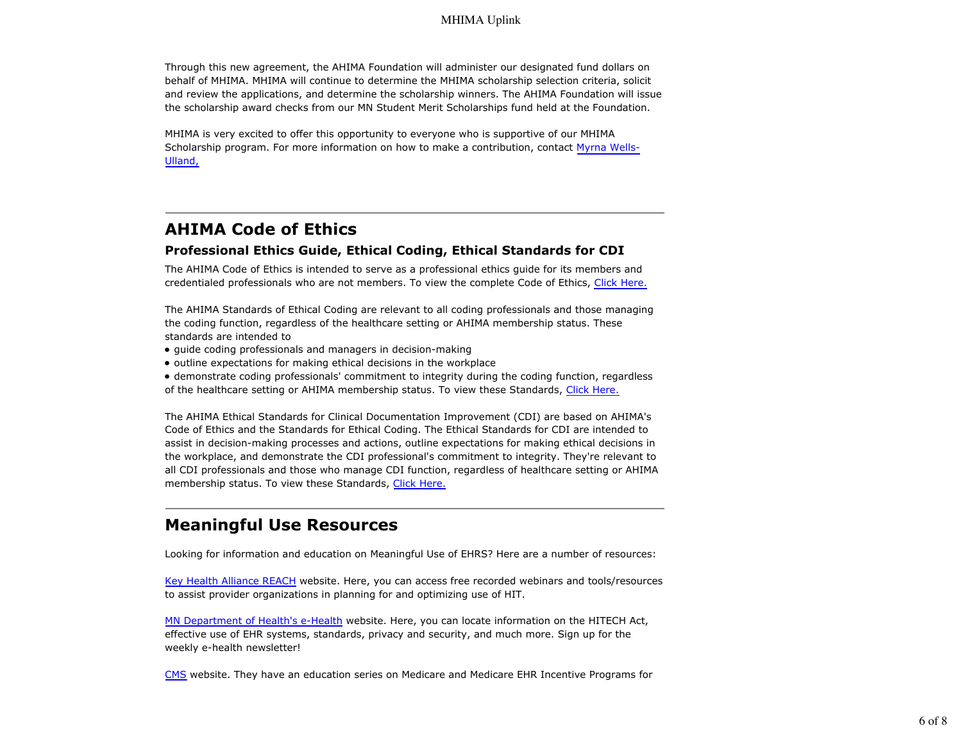Through this new agreement, the AHIMA Foundation will administer our designated fund dollars on behalf of MHIMA. MHIMA will continue to determine the MHIMA scholarship selection criteria, solicit and review the applications, and determine the scholarship winners. The AHIMA Foundation will issue the scholarship award checks from our MN Student Merit Scholarships fund held at the Foundation.

MHIMA is very excited to offer this opportunity to everyone who is supportive of our MHIMA Scholarship program. For more information on how to make a contribution, contact Myrna Wells-Ulland,

# **AHIMA Code of Ethics**

### **Professional Ethics Guide, Ethical Coding, Ethical Standards for CDI**

The AHIMA Code of Ethics is intended to serve as a professional ethics guide for its members and credentialed professionals who are not members. To view the complete Code of Ethics, Click Here.

The AHIMA Standards of Ethical Coding are relevant to all coding professionals and those managing the coding function, regardless of the healthcare setting or AHIMA membership status. These standards are intended to

- guide coding professionals and managers in decision-making
- outline expectations for making ethical decisions in the workplace

demonstrate coding professionals' commitment to integrity during the coding function, regardless of the healthcare setting or AHIMA membership status. To view these Standards, Click Here.

The AHIMA Ethical Standards for Clinical Documentation Improvement (CDI) are based on AHIMA's Code of Ethics and the Standards for Ethical Coding. The Ethical Standards for CDI are intended to assist in decision-making processes and actions, outline expectations for making ethical decisions in the workplace, and demonstrate the CDI professional's commitment to integrity. They're relevant to all CDI professionals and those who manage CDI function, regardless of healthcare setting or AHIMA membership status. To view these Standards, Click Here.

# **Meaningful Use Resources**

Looking for information and education on Meaningful Use of EHRS? Here are a number of resources:

Key Health Alliance REACH website. Here, you can access free recorded webinars and tools/resources to assist provider organizations in planning for and optimizing use of HIT.

MN Department of Health's e-Health website. Here, you can locate information on the HITECH Act, effective use of EHR systems, standards, privacy and security, and much more. Sign up for the weekly e-health newsletter!

CMS website. They have an education series on Medicare and Medicare EHR Incentive Programs for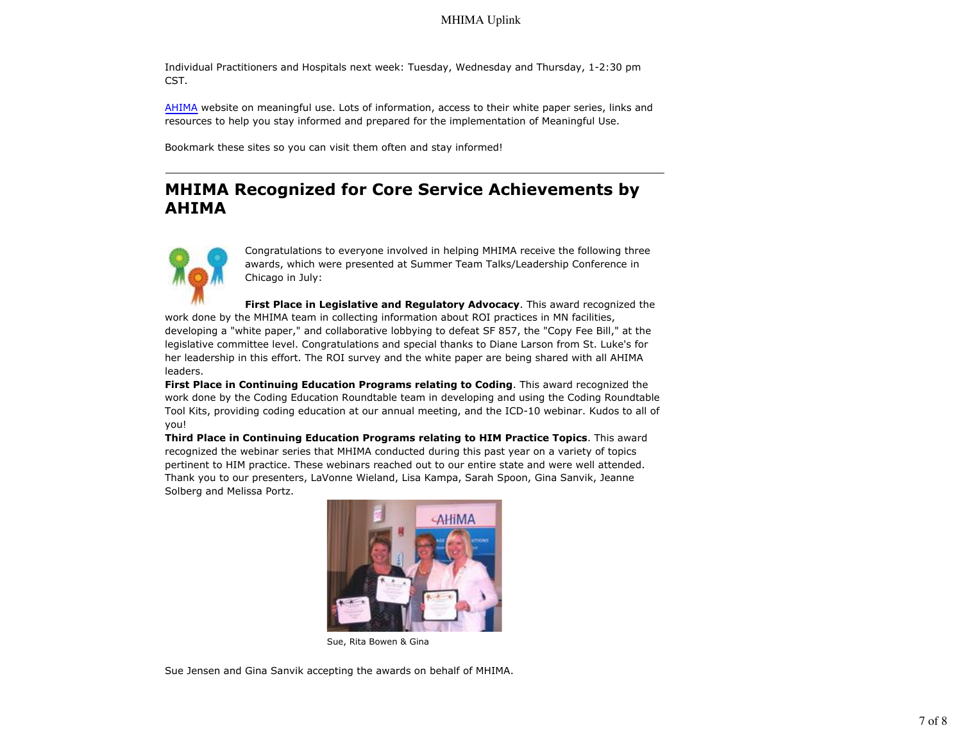### MHIMA Uplink

Individual Practitioners and Hospitals next week: Tuesday, Wednesday and Thursday, 1-2:30 pm CST.

AHIMA website on meaningful use. Lots of information, access to their white paper series, links and resources to help you stay informed and prepared for the implementation of Meaningful Use.

Bookmark these sites so you can visit them often and stay informed!

# **MHIMA Recognized for Core Service Achievements by AHIMA**



Congratulations to everyone involved in helping MHIMA receive the following three awards, which were presented at Summer Team Talks/Leadership Conference in Chicago in July:

**First Place in Legislative and Regulatory Advocacy**. This award recognized the work done by the MHIMA team in collecting information about ROI practices in MN facilities, developing a "white paper," and collaborative lobbying to defeat SF 857, the "Copy Fee Bill," at the legislative committee level. Congratulations and special thanks to Diane Larson from St. Luke's for her leadership in this effort. The ROI survey and the white paper are being shared with all AHIMA leaders.

**First Place in Continuing Education Programs relating to Coding**. This award recognized the work done by the Coding Education Roundtable team in developing and using the Coding Roundtable Tool Kits, providing coding education at our annual meeting, and the ICD-10 webinar. Kudos to all of you!

**Third Place in Continuing Education Programs relating to HIM Practice Topics**. This award recognized the webinar series that MHIMA conducted during this past year on a variety of topics pertinent to HIM practice. These webinars reached out to our entire state and were well attended. Thank you to our presenters, LaVonne Wieland, Lisa Kampa, Sarah Spoon, Gina Sanvik, Jeanne Solberg and Melissa Portz.



Sue, Rita Bowen & Gina

Sue Jensen and Gina Sanvik accepting the awards on behalf of MHIMA.